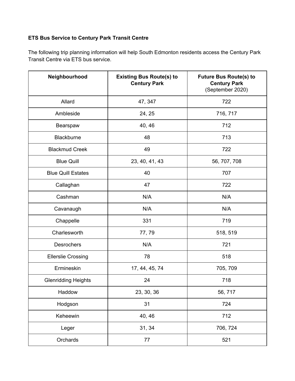## **ETS Bus Service to Century Park Transit Centre**

The following trip planning information will help South Edmonton residents access the Century Park Transit Centre via ETS bus service.

| Neighbourhood              | <b>Existing Bus Route(s) to</b><br><b>Century Park</b> | <b>Future Bus Route(s) to</b><br><b>Century Park</b><br>(September 2020) |
|----------------------------|--------------------------------------------------------|--------------------------------------------------------------------------|
| Allard                     | 47, 347                                                | 722                                                                      |
| Ambleside                  | 24, 25                                                 | 716, 717                                                                 |
| Bearspaw                   | 40, 46                                                 | 712                                                                      |
| Blackburne                 | 48                                                     | 713                                                                      |
| <b>Blackmud Creek</b>      | 49                                                     | 722                                                                      |
| <b>Blue Quill</b>          | 23, 40, 41, 43                                         | 56, 707, 708                                                             |
| <b>Blue Quill Estates</b>  | 40                                                     | 707                                                                      |
| Callaghan                  | 47                                                     | 722                                                                      |
| Cashman                    | N/A                                                    | N/A                                                                      |
| Cavanaugh                  | N/A                                                    | N/A                                                                      |
| Chappelle                  | 331                                                    | 719                                                                      |
| Charlesworth               | 77,79                                                  | 518, 519                                                                 |
| <b>Desrochers</b>          | N/A                                                    | 721                                                                      |
| <b>Ellerslie Crossing</b>  | 78                                                     | 518                                                                      |
| Ermineskin                 | 17, 44, 45, 74                                         | 705, 709                                                                 |
| <b>Glenridding Heights</b> | 24                                                     | 718                                                                      |
| Haddow                     | 23, 30, 36                                             | 56, 717                                                                  |
| Hodgson                    | 31                                                     | 724                                                                      |
| Keheewin                   | 40, 46                                                 | 712                                                                      |
| Leger                      | 31, 34                                                 | 706, 724                                                                 |
| Orchards                   | 77                                                     | 521                                                                      |